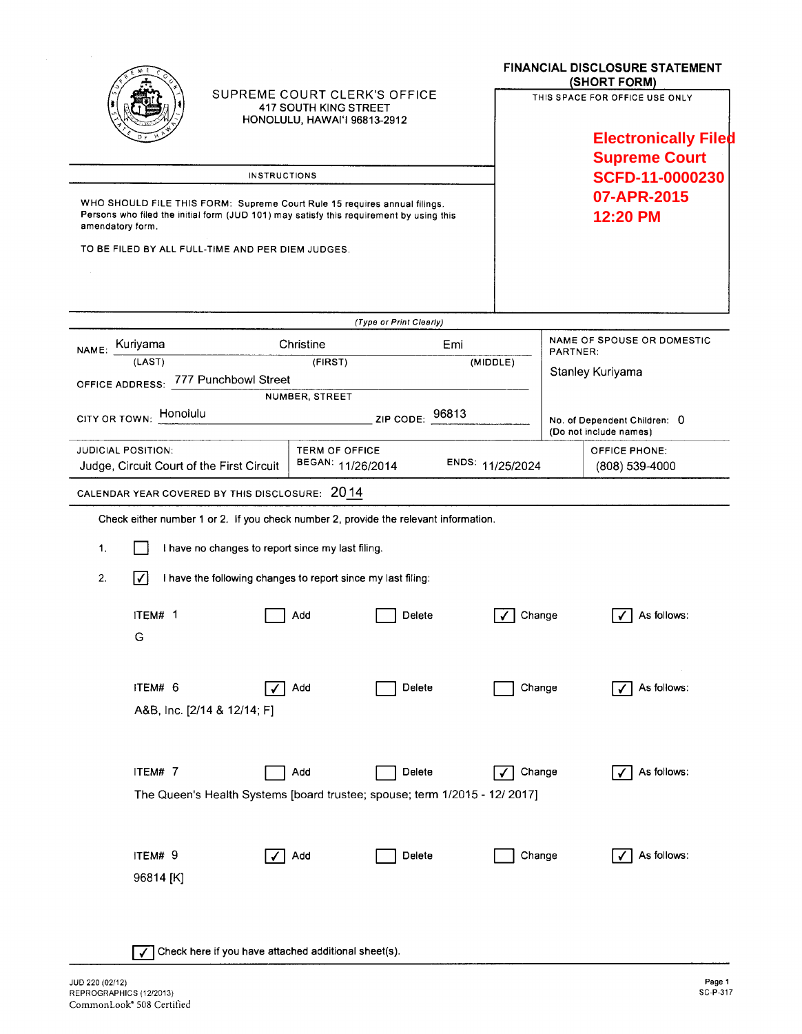|                                                                                                                                                                                          |                                           |                                                                                              |                         |                  | <b>FINANCIAL DISCLOSURE STATEMENT</b><br>(SHORT FORM)         |  |
|------------------------------------------------------------------------------------------------------------------------------------------------------------------------------------------|-------------------------------------------|----------------------------------------------------------------------------------------------|-------------------------|------------------|---------------------------------------------------------------|--|
|                                                                                                                                                                                          |                                           | SUPREME COURT CLERK'S OFFICE<br><b>417 SOUTH KING STREET</b><br>HONOLULU, HAWAI'I 96813-2912 |                         |                  | THIS SPACE FOR OFFICE USE ONLY<br><b>Electronically Filed</b> |  |
|                                                                                                                                                                                          |                                           |                                                                                              |                         |                  | <b>Supreme Court</b>                                          |  |
|                                                                                                                                                                                          |                                           | <b>INSTRUCTIONS</b>                                                                          |                         |                  | SCFD-11-0000230                                               |  |
| WHO SHOULD FILE THIS FORM: Supreme Court Rule 15 requires annual filings.<br>Persons who filed the initial form (JUD 101) may satisfy this requirement by using this<br>amendatory form. |                                           |                                                                                              |                         |                  | 07-APR-2015<br>12:20 PM                                       |  |
|                                                                                                                                                                                          |                                           | TO BE FILED BY ALL FULL-TIME AND PER DIEM JUDGES.                                            |                         |                  |                                                               |  |
|                                                                                                                                                                                          |                                           |                                                                                              | (Type or Print Clearly) |                  |                                                               |  |
| NAME: Kuriyama                                                                                                                                                                           |                                           | Christine                                                                                    | Emi                     |                  | <b>NAME OF SPOUSE OR DOMESTIC</b><br><b>PARTNER:</b>          |  |
|                                                                                                                                                                                          | (LAST)                                    | (FIRST)                                                                                      |                         | (MIDDLE)         | Stanley Kuriyama                                              |  |
| <b>OFFICE ADDRESS:</b>                                                                                                                                                                   |                                           | 777 Punchbowl Street                                                                         |                         |                  |                                                               |  |
| NUMBER, STREET<br>Honolulu<br>96813<br>CITY OR TOWN:<br>ZIP CODE:                                                                                                                        |                                           |                                                                                              |                         |                  | No. of Dependent Children: 0<br>(Do not include names)        |  |
| <b>JUDICIAL POSITION:</b>                                                                                                                                                                | Judge, Circuit Court of the First Circuit | <b>TERM OF OFFICE</b><br>BEGAN: 11/26/2014                                                   |                         | ENDS: 11/25/2024 | <b>OFFICE PHONE:</b><br>(808) 539-4000                        |  |
|                                                                                                                                                                                          |                                           | CALENDAR YEAR COVERED BY THIS DISCLOSURE: 2014                                               |                         |                  |                                                               |  |
| Check either number 1 or 2. If you check number 2, provide the relevant information.                                                                                                     |                                           |                                                                                              |                         |                  |                                                               |  |
| 1.<br>I have no changes to report since my last filing.                                                                                                                                  |                                           |                                                                                              |                         |                  |                                                               |  |
| 2.<br>∣✓∣<br>I have the following changes to report since my last filing:                                                                                                                |                                           |                                                                                              |                         |                  |                                                               |  |
|                                                                                                                                                                                          | ITEM# 1<br>G                              | Add                                                                                          | Delete                  | Change           | As follows:                                                   |  |
|                                                                                                                                                                                          | ITEM# 6<br>A&B, Inc. [2/14 & 12/14; F]    | Add                                                                                          | Delete                  | Change           | As follows:                                                   |  |
|                                                                                                                                                                                          | ITEM# 7                                   | Add<br>The Queen's Health Systems [board trustee; spouse; term 1/2015 - 12/ 2017]            | Delete                  | Change           | As follows:                                                   |  |
|                                                                                                                                                                                          | ITEM# 9<br>96814 [K]                      | Add                                                                                          | Delete                  | Change           | As follows:                                                   |  |
| Check here if you have attached additional sheet(s).                                                                                                                                     |                                           |                                                                                              |                         |                  |                                                               |  |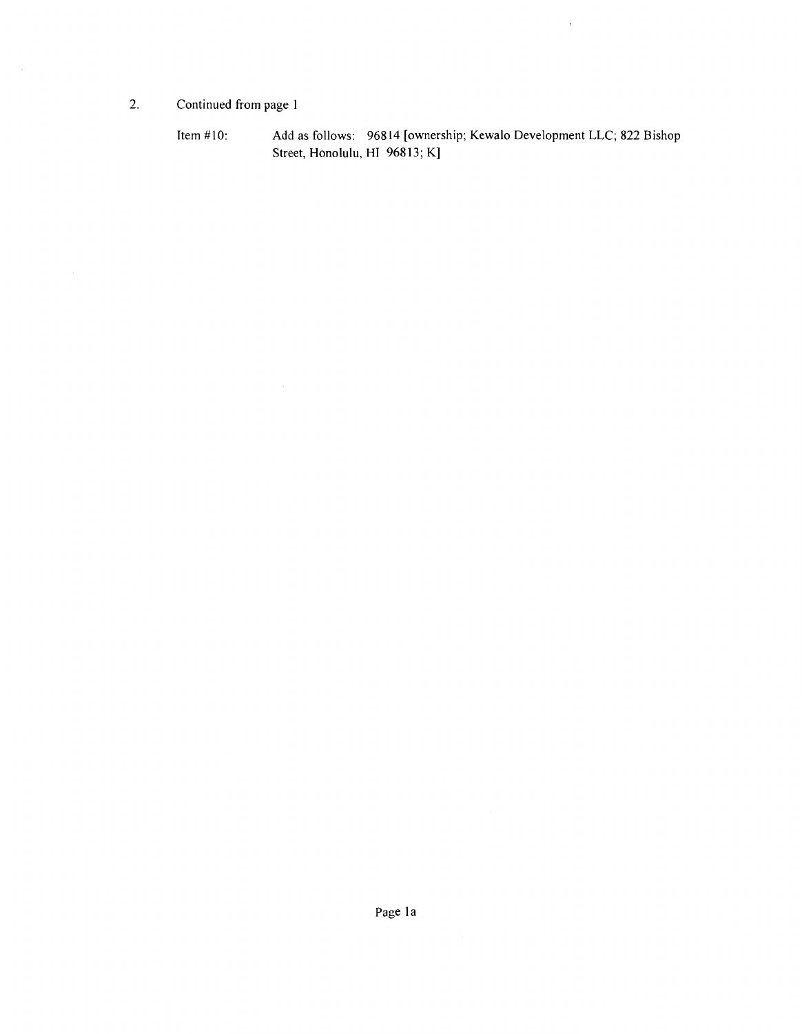2. Continued from page 1

Item #10: Add as follows: 96814 [ownership; Kewalo Development LLC; 822 Bishop Street, Honolulu, HI 96813; K]

 $\sim$   $t$